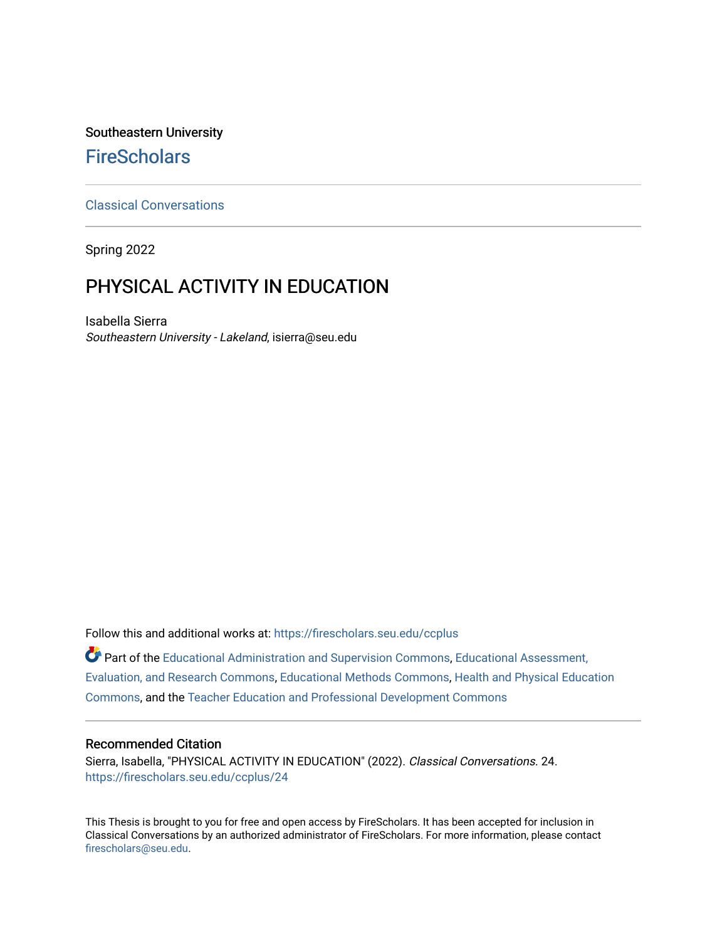## Southeastern University **FireScholars**

## [Classical Conversations](https://firescholars.seu.edu/ccplus)

Spring 2022

# PHYSICAL ACTIVITY IN EDUCATION

Isabella Sierra Southeastern University - Lakeland, isierra@seu.edu

Follow this and additional works at: [https://firescholars.seu.edu/ccplus](https://firescholars.seu.edu/ccplus?utm_source=firescholars.seu.edu%2Fccplus%2F24&utm_medium=PDF&utm_campaign=PDFCoverPages)

**Part of the [Educational Administration and Supervision Commons](https://network.bepress.com/hgg/discipline/787?utm_source=firescholars.seu.edu%2Fccplus%2F24&utm_medium=PDF&utm_campaign=PDFCoverPages), Educational Assessment,** [Evaluation, and Research Commons,](https://network.bepress.com/hgg/discipline/796?utm_source=firescholars.seu.edu%2Fccplus%2F24&utm_medium=PDF&utm_campaign=PDFCoverPages) [Educational Methods Commons,](https://network.bepress.com/hgg/discipline/1227?utm_source=firescholars.seu.edu%2Fccplus%2F24&utm_medium=PDF&utm_campaign=PDFCoverPages) [Health and Physical Education](https://network.bepress.com/hgg/discipline/1327?utm_source=firescholars.seu.edu%2Fccplus%2F24&utm_medium=PDF&utm_campaign=PDFCoverPages)  [Commons](https://network.bepress.com/hgg/discipline/1327?utm_source=firescholars.seu.edu%2Fccplus%2F24&utm_medium=PDF&utm_campaign=PDFCoverPages), and the [Teacher Education and Professional Development Commons](https://network.bepress.com/hgg/discipline/803?utm_source=firescholars.seu.edu%2Fccplus%2F24&utm_medium=PDF&utm_campaign=PDFCoverPages)

#### Recommended Citation

Sierra, Isabella, "PHYSICAL ACTIVITY IN EDUCATION" (2022). Classical Conversations. 24. [https://firescholars.seu.edu/ccplus/24](https://firescholars.seu.edu/ccplus/24?utm_source=firescholars.seu.edu%2Fccplus%2F24&utm_medium=PDF&utm_campaign=PDFCoverPages) 

This Thesis is brought to you for free and open access by FireScholars. It has been accepted for inclusion in Classical Conversations by an authorized administrator of FireScholars. For more information, please contact [firescholars@seu.edu.](mailto:firescholars@seu.edu)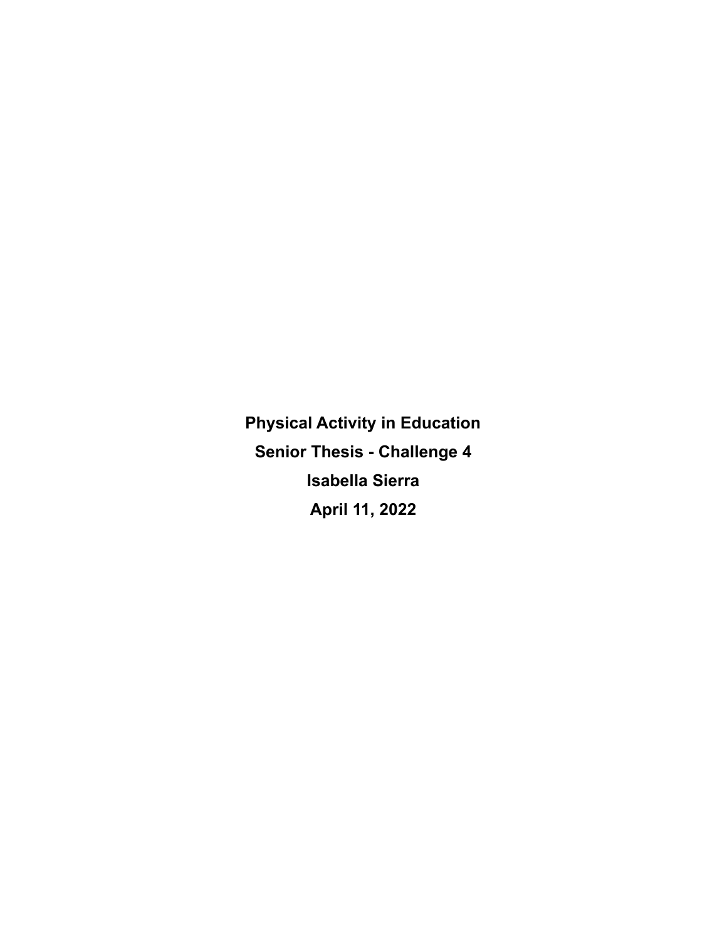**Physical Activity in Education Senior Thesis - Challenge 4 Isabella Sierra April 11, 2022**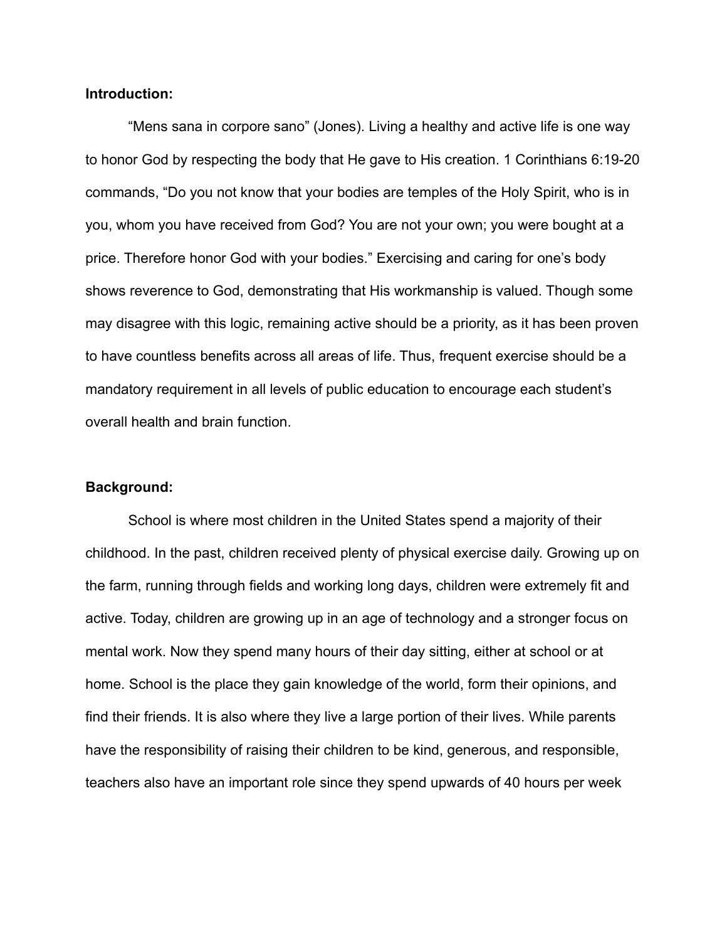## **Introduction:**

"Mens sana in corpore sano" (Jones). Living a healthy and active life is one way to honor God by respecting the body that He gave to His creation. 1 Corinthians 6:19-20 commands, "Do you not know that your bodies are temples of the Holy Spirit, who is in you, whom you have received from God? You are not your own; you were bought at a price. Therefore honor God with your bodies." Exercising and caring for one's body shows reverence to God, demonstrating that His workmanship is valued. Though some may disagree with this logic, remaining active should be a priority, as it has been proven to have countless benefits across all areas of life. Thus, frequent exercise should be a mandatory requirement in all levels of public education to encourage each student's overall health and brain function.

#### **Background:**

School is where most children in the United States spend a majority of their childhood. In the past, children received plenty of physical exercise daily. Growing up on the farm, running through fields and working long days, children were extremely fit and active. Today, children are growing up in an age of technology and a stronger focus on mental work. Now they spend many hours of their day sitting, either at school or at home. School is the place they gain knowledge of the world, form their opinions, and find their friends. It is also where they live a large portion of their lives. While parents have the responsibility of raising their children to be kind, generous, and responsible, teachers also have an important role since they spend upwards of 40 hours per week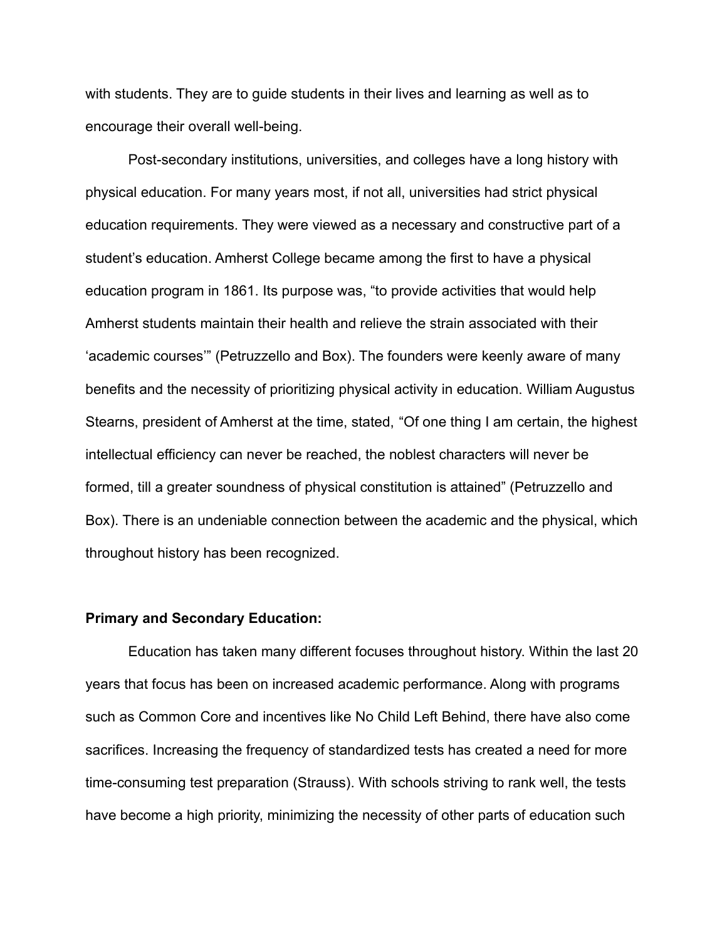with students. They are to guide students in their lives and learning as well as to encourage their overall well-being.

Post-secondary institutions, universities, and colleges have a long history with physical education. For many years most, if not all, universities had strict physical education requirements. They were viewed as a necessary and constructive part of a student's education. Amherst College became among the first to have a physical education program in 1861. Its purpose was, "to provide activities that would help Amherst students maintain their health and relieve the strain associated with their 'academic courses'" (Petruzzello and Box). The founders were keenly aware of many benefits and the necessity of prioritizing physical activity in education. William Augustus Stearns, president of Amherst at the time, stated, "Of one thing I am certain, the highest intellectual efficiency can never be reached, the noblest characters will never be formed, till a greater soundness of physical constitution is attained" (Petruzzello and Box). There is an undeniable connection between the academic and the physical, which throughout history has been recognized.

#### **Primary and Secondary Education:**

Education has taken many different focuses throughout history. Within the last 20 years that focus has been on increased academic performance. Along with programs such as Common Core and incentives like No Child Left Behind, there have also come sacrifices. Increasing the frequency of standardized tests has created a need for more time-consuming test preparation (Strauss). With schools striving to rank well, the tests have become a high priority, minimizing the necessity of other parts of education such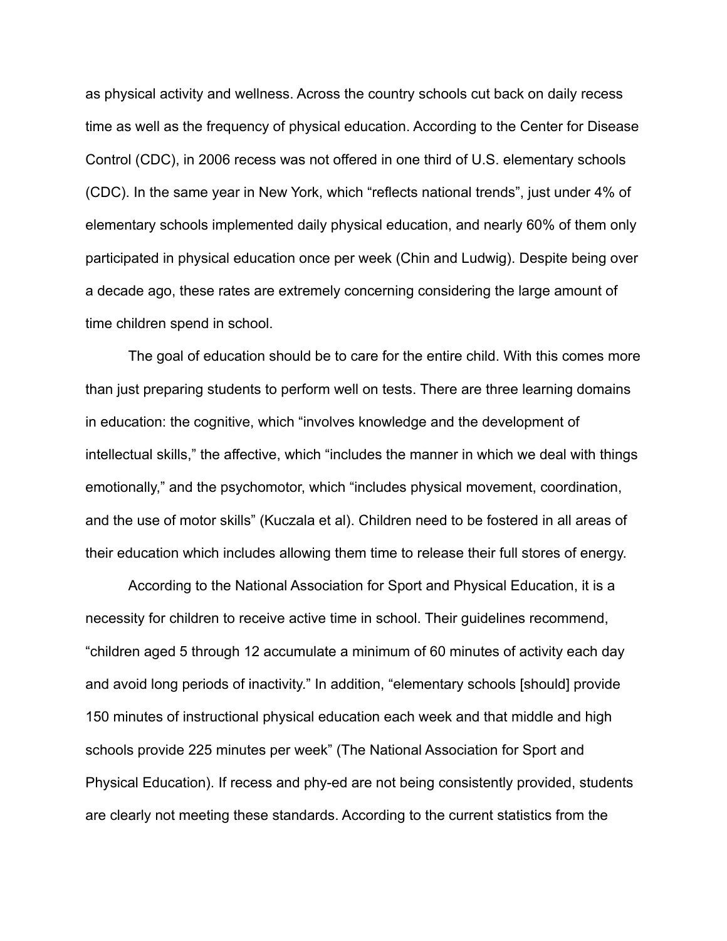as physical activity and wellness. Across the country schools cut back on daily recess time as well as the frequency of physical education. According to the Center for Disease Control (CDC), in 2006 recess was not offered in one third of U.S. elementary schools (CDC). In the same year in New York, which "reflects national trends", just under 4% of elementary schools implemented daily physical education, and nearly 60% of them only participated in physical education once per week (Chin and Ludwig). Despite being over a decade ago, these rates are extremely concerning considering the large amount of time children spend in school.

The goal of education should be to care for the entire child. With this comes more than just preparing students to perform well on tests. There are three learning domains in education: the cognitive, which "involves knowledge and the development of intellectual skills," the affective, which "includes the manner in which we deal with things emotionally," and the psychomotor, which "includes physical movement, coordination, and the use of motor skills" (Kuczala et al). Children need to be fostered in all areas of their education which includes allowing them time to release their full stores of energy.

According to the National Association for Sport and Physical Education, it is a necessity for children to receive active time in school. Their guidelines recommend, "children aged 5 through 12 accumulate a minimum of 60 minutes of activity each day and avoid long periods of inactivity." In addition, "elementary schools [should] provide 150 minutes of instructional physical education each week and that middle and high schools provide 225 minutes per week" (The National Association for Sport and Physical Education). If recess and phy-ed are not being consistently provided, students are clearly not meeting these standards. According to the current statistics from the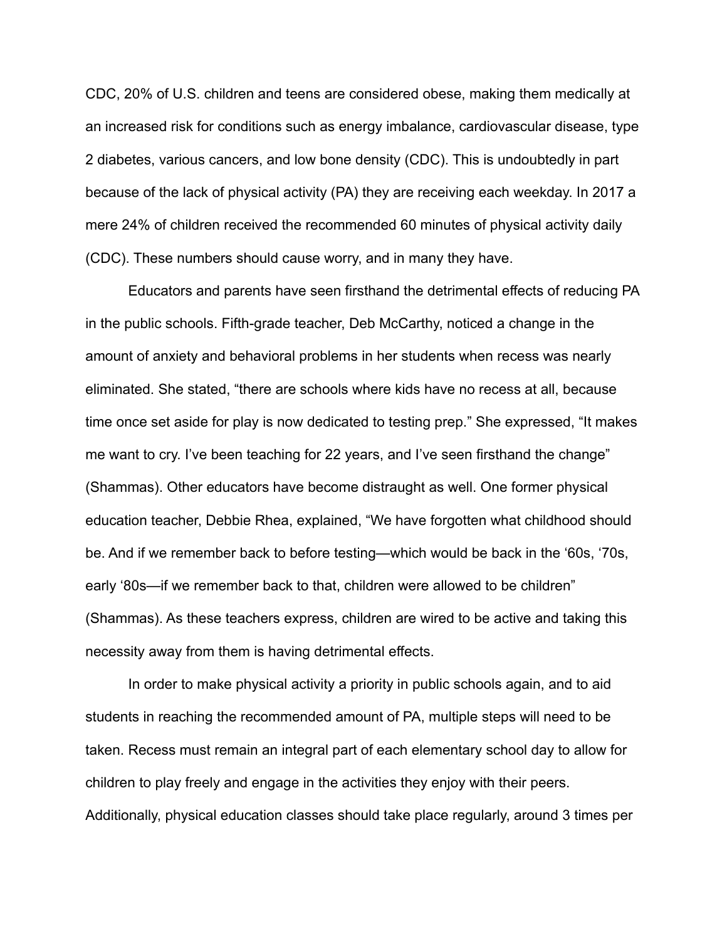CDC, 20% of U.S. children and teens are considered obese, making them medically at an increased risk for conditions such as energy imbalance, cardiovascular disease, type 2 diabetes, various cancers, and low bone density (CDC). This is undoubtedly in part because of the lack of physical activity (PA) they are receiving each weekday. In 2017 a mere 24% of children received the recommended 60 minutes of physical activity daily (CDC). These numbers should cause worry, and in many they have.

Educators and parents have seen firsthand the detrimental effects of reducing PA in the public schools. Fifth-grade teacher, Deb McCarthy, noticed a change in the amount of anxiety and behavioral problems in her students when recess was nearly eliminated. She stated, "there are schools where kids have no recess at all, because time once set aside for play is now dedicated to testing prep." She expressed, "It makes me want to cry. I've been teaching for 22 years, and I've seen firsthand the change" (Shammas). Other educators have become distraught as well. One former physical education teacher, Debbie Rhea, explained, "We have forgotten what childhood should be. And if we remember back to before testing—which would be back in the '60s, '70s, early '80s—if we remember back to that, children were allowed to be children" (Shammas). As these teachers express, children are wired to be active and taking this necessity away from them is having detrimental effects.

In order to make physical activity a priority in public schools again, and to aid students in reaching the recommended amount of PA, multiple steps will need to be taken. Recess must remain an integral part of each elementary school day to allow for children to play freely and engage in the activities they enjoy with their peers. Additionally, physical education classes should take place regularly, around 3 times per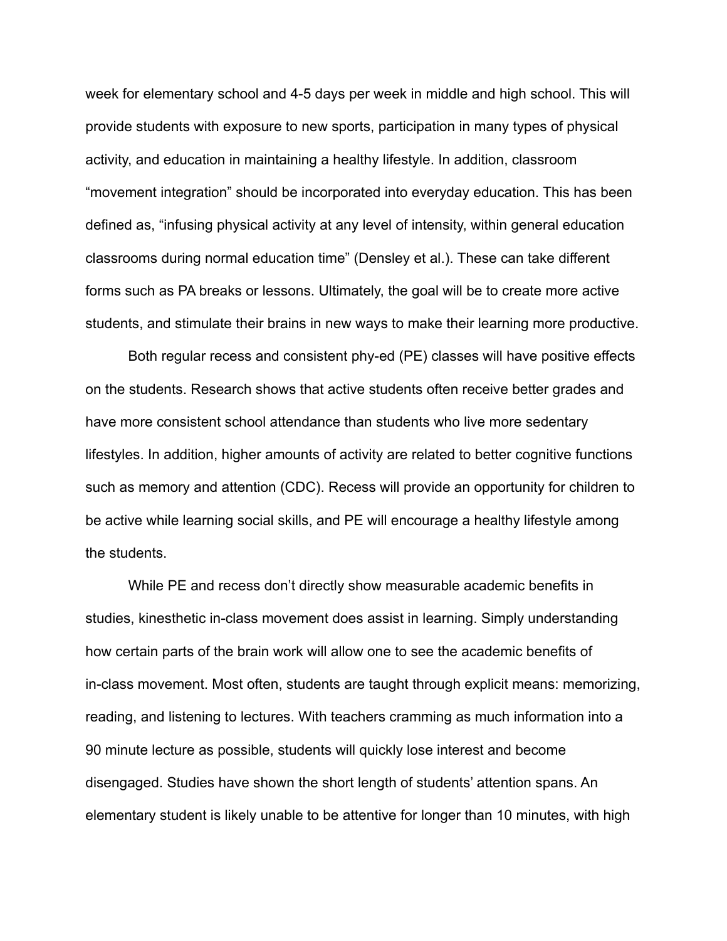week for elementary school and 4-5 days per week in middle and high school. This will provide students with exposure to new sports, participation in many types of physical activity, and education in maintaining a healthy lifestyle. In addition, classroom "movement integration" should be incorporated into everyday education. This has been defined as, "infusing physical activity at any level of intensity, within general education classrooms during normal education time" (Densley et al.). These can take different forms such as PA breaks or lessons. Ultimately, the goal will be to create more active students, and stimulate their brains in new ways to make their learning more productive.

Both regular recess and consistent phy-ed (PE) classes will have positive effects on the students. Research shows that active students often receive better grades and have more consistent school attendance than students who live more sedentary lifestyles. In addition, higher amounts of activity are related to better cognitive functions such as memory and attention (CDC). Recess will provide an opportunity for children to be active while learning social skills, and PE will encourage a healthy lifestyle among the students.

While PE and recess don't directly show measurable academic benefits in studies, kinesthetic in-class movement does assist in learning. Simply understanding how certain parts of the brain work will allow one to see the academic benefits of in-class movement. Most often, students are taught through explicit means: memorizing, reading, and listening to lectures. With teachers cramming as much information into a 90 minute lecture as possible, students will quickly lose interest and become disengaged. Studies have shown the short length of students' attention spans. An elementary student is likely unable to be attentive for longer than 10 minutes, with high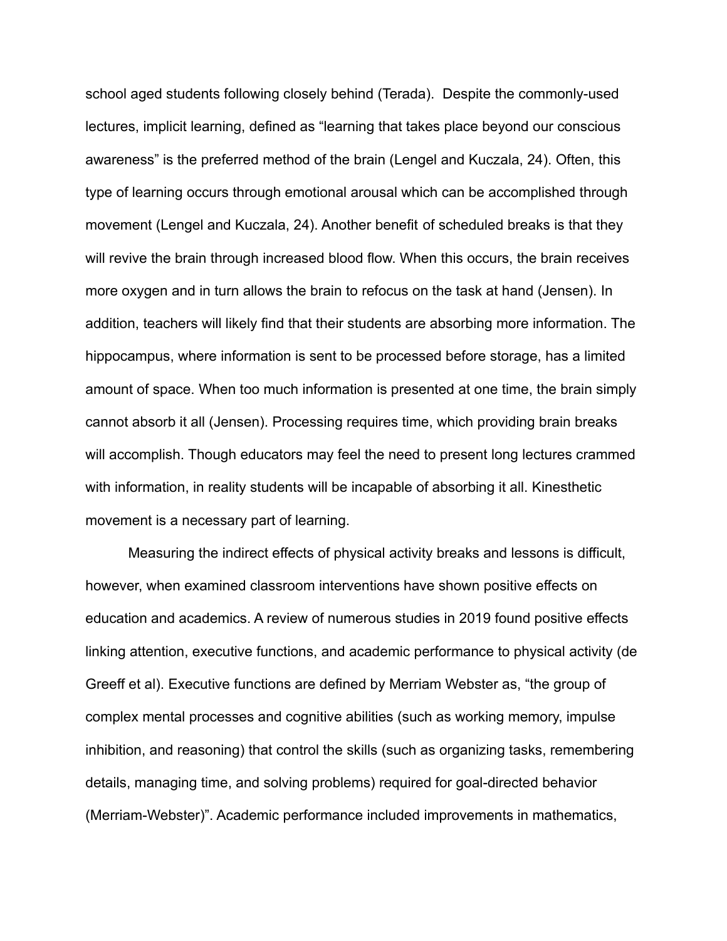school aged students following closely behind (Terada). Despite the commonly-used lectures, implicit learning, defined as "learning that takes place beyond our conscious awareness" is the preferred method of the brain (Lengel and Kuczala, 24). Often, this type of learning occurs through emotional arousal which can be accomplished through movement (Lengel and Kuczala, 24). Another benefit of scheduled breaks is that they will revive the brain through increased blood flow. When this occurs, the brain receives more oxygen and in turn allows the brain to refocus on the task at hand (Jensen). In addition, teachers will likely find that their students are absorbing more information. The hippocampus, where information is sent to be processed before storage, has a limited amount of space. When too much information is presented at one time, the brain simply cannot absorb it all (Jensen). Processing requires time, which providing brain breaks will accomplish. Though educators may feel the need to present long lectures crammed with information, in reality students will be incapable of absorbing it all. Kinesthetic movement is a necessary part of learning.

Measuring the indirect effects of physical activity breaks and lessons is difficult, however, when examined classroom interventions have shown positive effects on education and academics. A review of numerous studies in 2019 found positive effects linking attention, executive functions, and academic performance to physical activity (de Greeff et al). Executive functions are defined by Merriam Webster as, "the group of complex mental processes and cognitive abilities (such as working memory, impulse inhibition, and reasoning) that control the skills (such as organizing tasks, remembering details, managing time, and solving problems) required for goal-directed behavior (Merriam-Webster)". Academic performance included improvements in mathematics,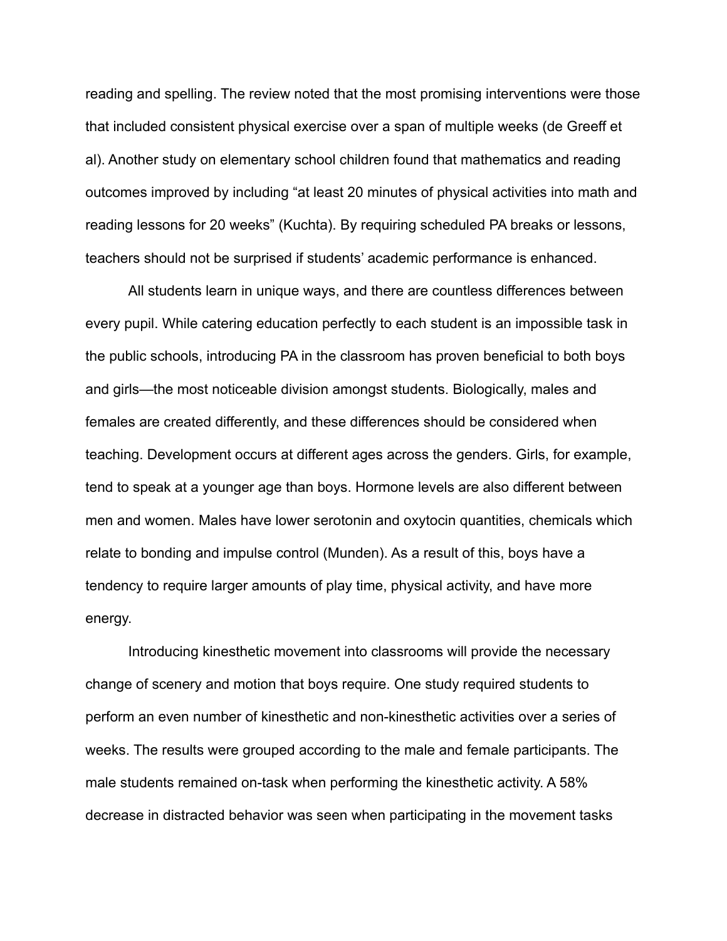reading and spelling. The review noted that the most promising interventions were those that included consistent physical exercise over a span of multiple weeks (de Greeff et al). Another study on elementary school children found that mathematics and reading outcomes improved by including "at least 20 minutes of physical activities into math and reading lessons for 20 weeks" (Kuchta). By requiring scheduled PA breaks or lessons, teachers should not be surprised if students' academic performance is enhanced.

All students learn in unique ways, and there are countless differences between every pupil. While catering education perfectly to each student is an impossible task in the public schools, introducing PA in the classroom has proven beneficial to both boys and girls—the most noticeable division amongst students. Biologically, males and females are created differently, and these differences should be considered when teaching. Development occurs at different ages across the genders. Girls, for example, tend to speak at a younger age than boys. Hormone levels are also different between men and women. Males have lower serotonin and oxytocin quantities, chemicals which relate to bonding and impulse control (Munden). As a result of this, boys have a tendency to require larger amounts of play time, physical activity, and have more energy.

Introducing kinesthetic movement into classrooms will provide the necessary change of scenery and motion that boys require. One study required students to perform an even number of kinesthetic and non-kinesthetic activities over a series of weeks. The results were grouped according to the male and female participants. The male students remained on-task when performing the kinesthetic activity. A 58% decrease in distracted behavior was seen when participating in the movement tasks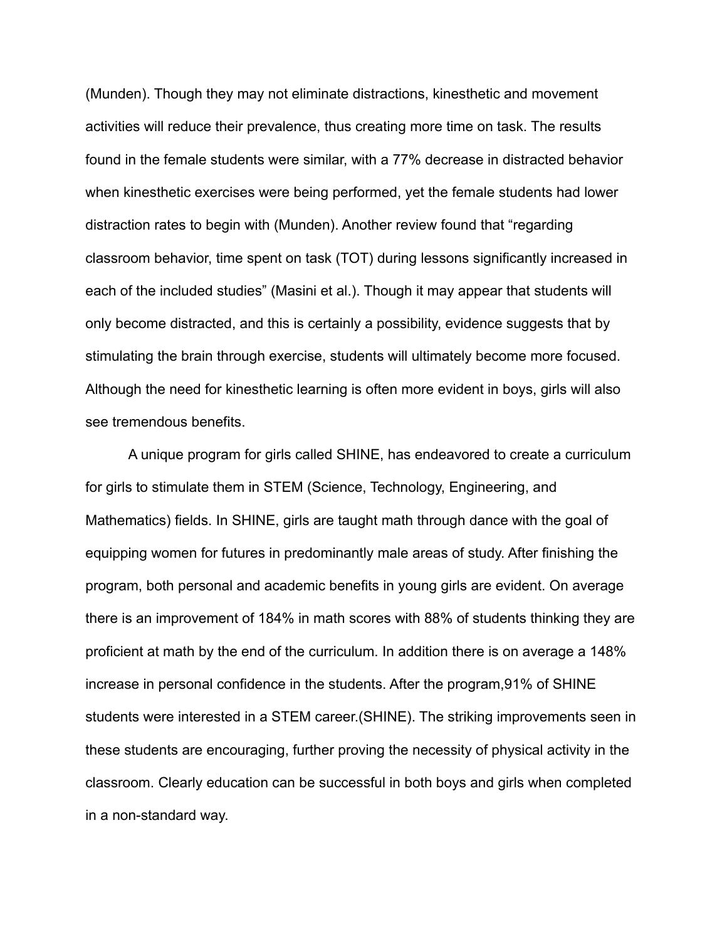(Munden). Though they may not eliminate distractions, kinesthetic and movement activities will reduce their prevalence, thus creating more time on task. The results found in the female students were similar, with a 77% decrease in distracted behavior when kinesthetic exercises were being performed, yet the female students had lower distraction rates to begin with (Munden). Another review found that "regarding classroom behavior, time spent on task (TOT) during lessons significantly increased in each of the included studies" (Masini et al.). Though it may appear that students will only become distracted, and this is certainly a possibility, evidence suggests that by stimulating the brain through exercise, students will ultimately become more focused. Although the need for kinesthetic learning is often more evident in boys, girls will also see tremendous benefits.

A unique program for girls called SHINE, has endeavored to create a curriculum for girls to stimulate them in STEM (Science, Technology, Engineering, and Mathematics) fields. In SHINE, girls are taught math through dance with the goal of equipping women for futures in predominantly male areas of study. After finishing the program, both personal and academic benefits in young girls are evident. On average there is an improvement of 184% in math scores with 88% of students thinking they are proficient at math by the end of the curriculum. In addition there is on average a 148% increase in personal confidence in the students. After the program,91% of SHINE students were interested in a STEM career.(SHINE). The striking improvements seen in these students are encouraging, further proving the necessity of physical activity in the classroom. Clearly education can be successful in both boys and girls when completed in a non-standard way.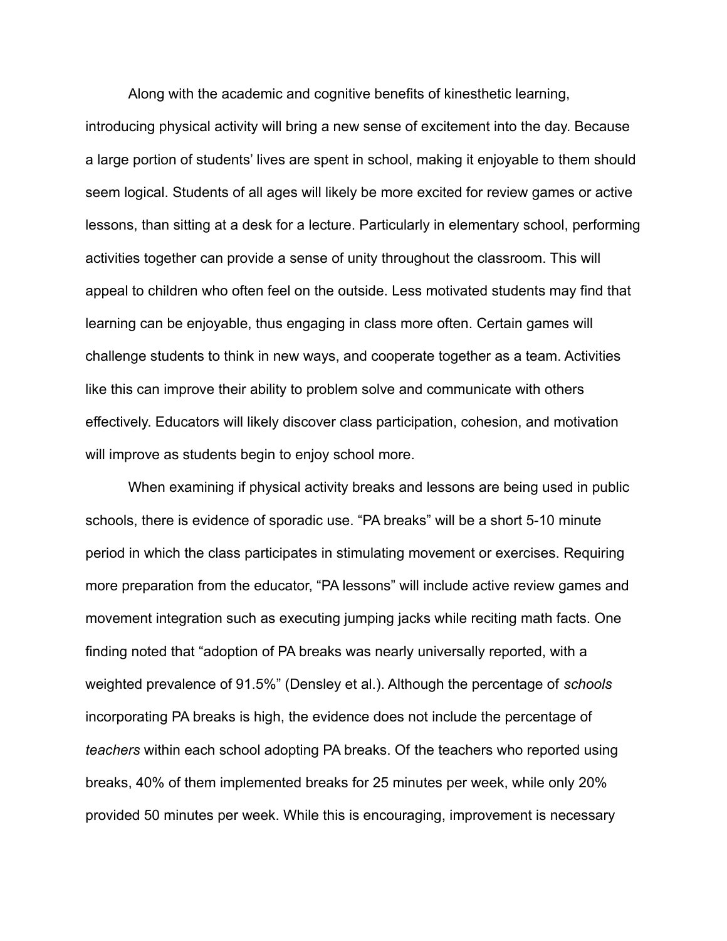Along with the academic and cognitive benefits of kinesthetic learning,

introducing physical activity will bring a new sense of excitement into the day. Because a large portion of students' lives are spent in school, making it enjoyable to them should seem logical. Students of all ages will likely be more excited for review games or active lessons, than sitting at a desk for a lecture. Particularly in elementary school, performing activities together can provide a sense of unity throughout the classroom. This will appeal to children who often feel on the outside. Less motivated students may find that learning can be enjoyable, thus engaging in class more often. Certain games will challenge students to think in new ways, and cooperate together as a team. Activities like this can improve their ability to problem solve and communicate with others effectively. Educators will likely discover class participation, cohesion, and motivation will improve as students begin to enjoy school more.

When examining if physical activity breaks and lessons are being used in public schools, there is evidence of sporadic use. "PA breaks" will be a short 5-10 minute period in which the class participates in stimulating movement or exercises. Requiring more preparation from the educator, "PA lessons" will include active review games and movement integration such as executing jumping jacks while reciting math facts. One finding noted that "adoption of PA breaks was nearly universally reported, with a weighted prevalence of 91.5%" (Densley et al.). Although the percentage of *schools* incorporating PA breaks is high, the evidence does not include the percentage of *teachers* within each school adopting PA breaks. Of the teachers who reported using breaks, 40% of them implemented breaks for 25 minutes per week, while only 20% provided 50 minutes per week. While this is encouraging, improvement is necessary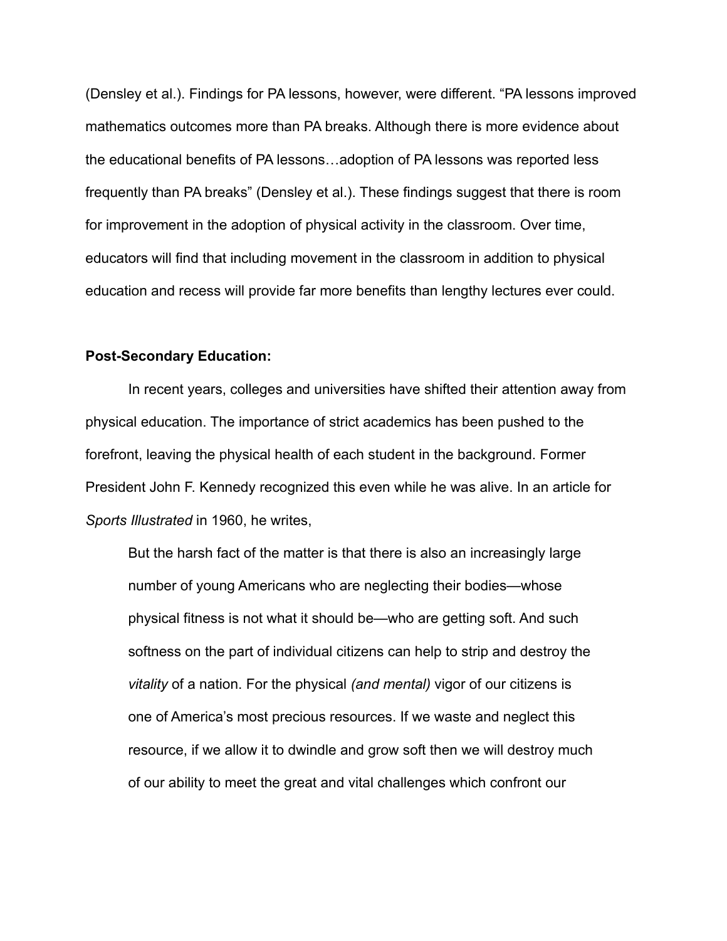(Densley et al.). Findings for PA lessons, however, were different. "PA lessons improved mathematics outcomes more than PA breaks. Although there is more evidence about the educational benefits of PA lessons…adoption of PA lessons was reported less frequently than PA breaks" (Densley et al.). These findings suggest that there is room for improvement in the adoption of physical activity in the classroom. Over time, educators will find that including movement in the classroom in addition to physical education and recess will provide far more benefits than lengthy lectures ever could.

#### **Post-Secondary Education:**

In recent years, colleges and universities have shifted their attention away from physical education. The importance of strict academics has been pushed to the forefront, leaving the physical health of each student in the background. Former President John F. Kennedy recognized this even while he was alive. In an article for *Sports Illustrated* in 1960, he writes,

But the harsh fact of the matter is that there is also an increasingly large number of young Americans who are neglecting their bodies—whose physical fitness is not what it should be—who are getting soft. And such softness on the part of individual citizens can help to strip and destroy the *vitality* of a nation. For the physical *(and mental)* vigor of our citizens is one of America's most precious resources. If we waste and neglect this resource, if we allow it to dwindle and grow soft then we will destroy much of our ability to meet the great and vital challenges which confront our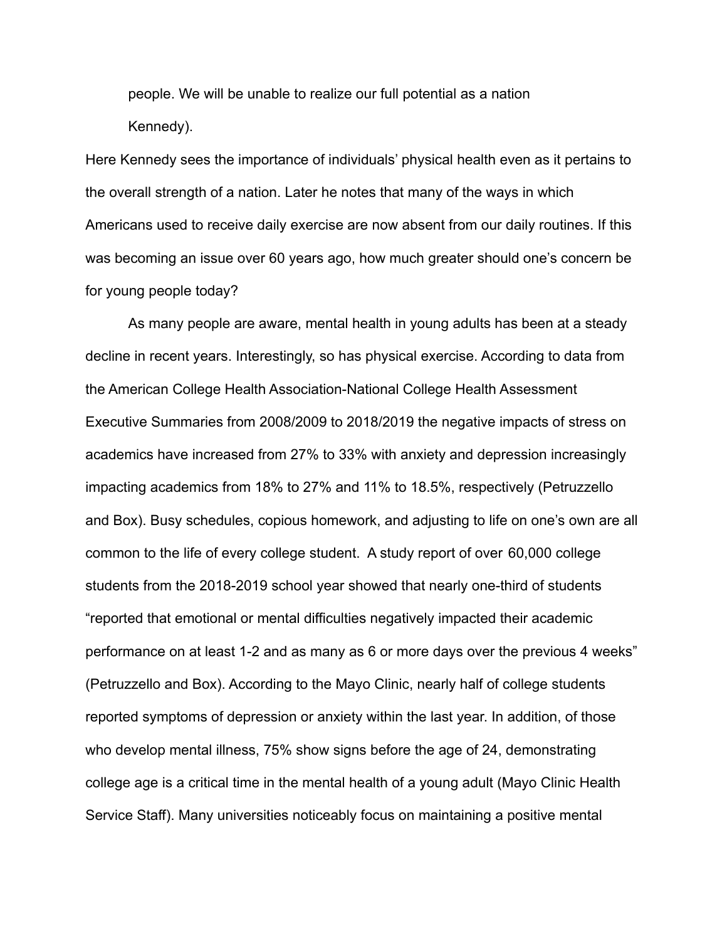people. We will be unable to realize our full potential as a nation Kennedy).

Here Kennedy sees the importance of individuals' physical health even as it pertains to the overall strength of a nation. Later he notes that many of the ways in which Americans used to receive daily exercise are now absent from our daily routines. If this was becoming an issue over 60 years ago, how much greater should one's concern be for young people today?

As many people are aware, mental health in young adults has been at a steady decline in recent years. Interestingly, so has physical exercise. According to data from the American College Health Association-National College Health Assessment Executive Summaries from 2008/2009 to 2018/2019 the negative impacts of stress on academics have increased from 27% to 33% with anxiety and depression increasingly impacting academics from 18% to 27% and 11% to 18.5%, respectively (Petruzzello and Box). Busy schedules, copious homework, and adjusting to life on one's own are all common to the life of every college student. A study report of over 60,000 college students from the 2018-2019 school year showed that nearly one-third of students "reported that emotional or mental difficulties negatively impacted their academic performance on at least 1-2 and as many as 6 or more days over the previous 4 weeks" (Petruzzello and Box). According to the Mayo Clinic, nearly half of college students reported symptoms of depression or anxiety within the last year. In addition, of those who develop mental illness, 75% show signs before the age of 24, demonstrating college age is a critical time in the mental health of a young adult (Mayo Clinic Health Service Staff). Many universities noticeably focus on maintaining a positive mental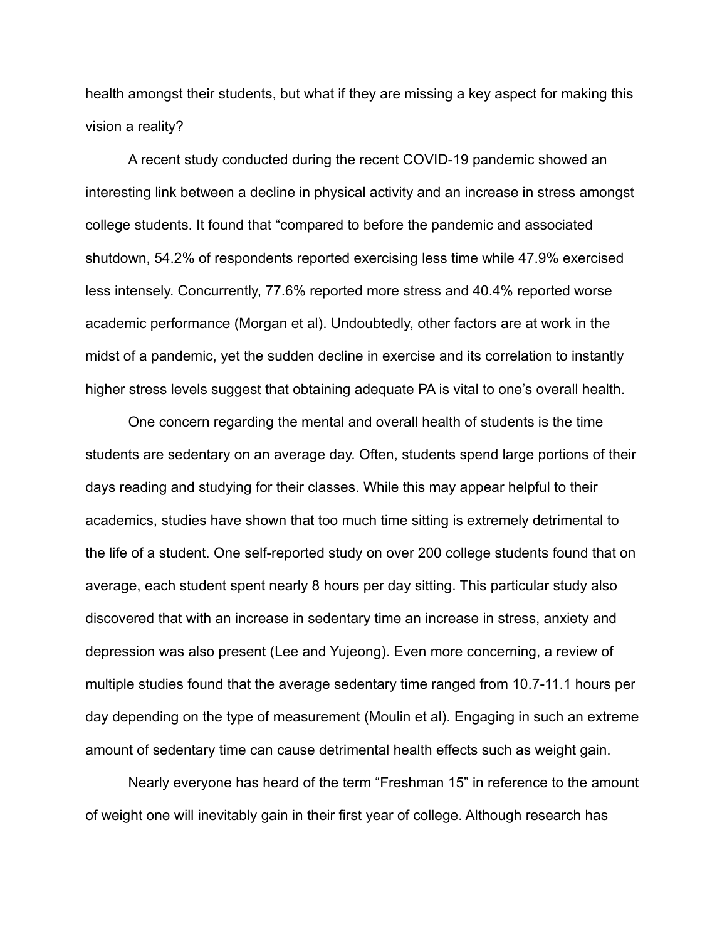health amongst their students, but what if they are missing a key aspect for making this vision a reality?

A recent study conducted during the recent COVID-19 pandemic showed an interesting link between a decline in physical activity and an increase in stress amongst college students. It found that "compared to before the pandemic and associated shutdown, 54.2% of respondents reported exercising less time while 47.9% exercised less intensely. Concurrently, 77.6% reported more stress and 40.4% reported worse academic performance (Morgan et al). Undoubtedly, other factors are at work in the midst of a pandemic, yet the sudden decline in exercise and its correlation to instantly higher stress levels suggest that obtaining adequate PA is vital to one's overall health.

One concern regarding the mental and overall health of students is the time students are sedentary on an average day. Often, students spend large portions of their days reading and studying for their classes. While this may appear helpful to their academics, studies have shown that too much time sitting is extremely detrimental to the life of a student. One self-reported study on over 200 college students found that on average, each student spent nearly 8 hours per day sitting. This particular study also discovered that with an increase in sedentary time an increase in stress, anxiety and depression was also present (Lee and Yujeong). Even more concerning, a review of multiple studies found that the average sedentary time ranged from 10.7-11.1 hours per day depending on the type of measurement (Moulin et al). Engaging in such an extreme amount of sedentary time can cause detrimental health effects such as weight gain.

Nearly everyone has heard of the term "Freshman 15" in reference to the amount of weight one will inevitably gain in their first year of college. Although research has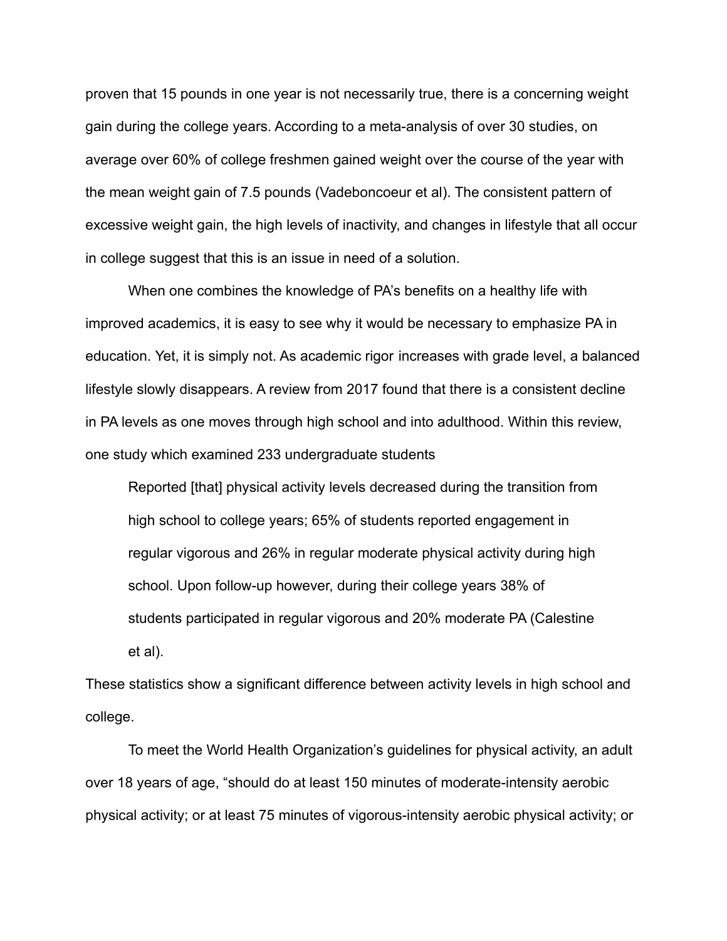proven that 15 pounds in one year is not necessarily true, there is a concerning weight gain during the college years. According to a meta-analysis of over 30 studies, on average over 60% of college freshmen gained weight over the course of the year with the mean weight gain of 7.5 pounds (Vadeboncoeur et al). The consistent pattern of excessive weight gain, the high levels of inactivity, and changes in lifestyle that all occur in college suggest that this is an issue in need of a solution.

When one combines the knowledge of PA's benefits on a healthy life with improved academics, it is easy to see why it would be necessary to emphasize PA in education. Yet, it is simply not. As academic rigor increases with grade level, a balanced lifestyle slowly disappears. A review from 2017 found that there is a consistent decline in PA levels as one moves through high school and into adulthood. Within this review, one study which examined 233 undergraduate students

Reported [that] physical activity levels decreased during the transition from high school to college years; 65% of students reported engagement in regular vigorous and 26% in regular moderate physical activity during high school. Upon follow-up however, during their college years 38% of students participated in regular vigorous and 20% moderate PA (Calestine et al).

These statistics show a significant difference between activity levels in high school and college.

To meet the World Health Organization's guidelines for physical activity, an adult over 18 years of age, "should do at least 150 minutes of moderate-intensity aerobic physical activity; or at least 75 minutes of vigorous-intensity aerobic physical activity; or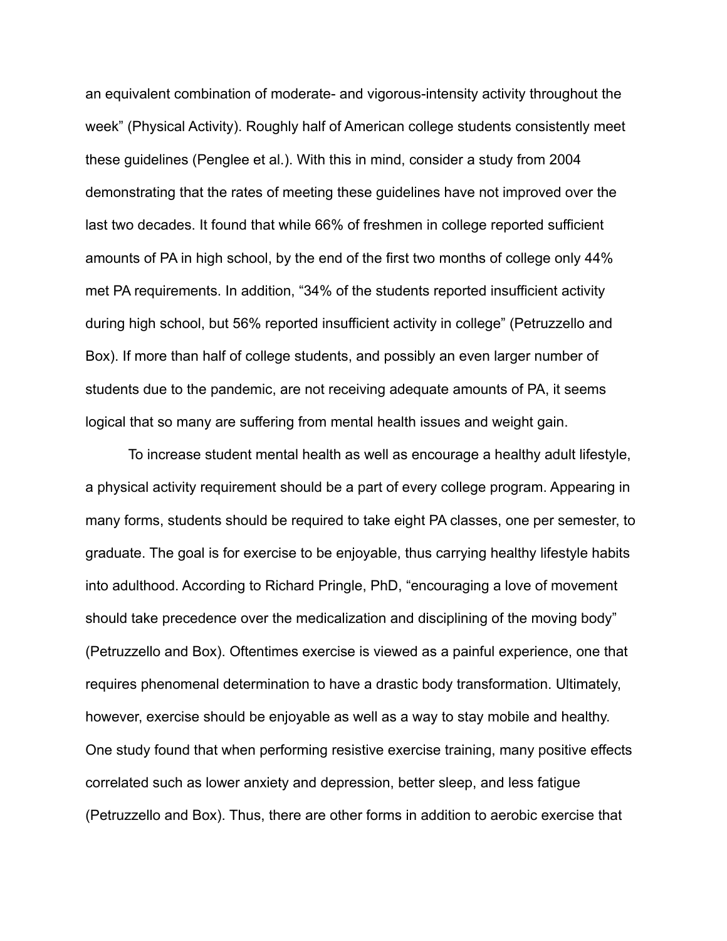an equivalent combination of moderate- and vigorous-intensity activity throughout the week" (Physical Activity). Roughly half of American college students consistently meet these guidelines (Penglee et al.). With this in mind, consider a study from 2004 demonstrating that the rates of meeting these guidelines have not improved over the last two decades. It found that while 66% of freshmen in college reported sufficient amounts of PA in high school, by the end of the first two months of college only 44% met PA requirements. In addition, "34% of the students reported insufficient activity during high school, but 56% reported insufficient activity in college" (Petruzzello and Box). If more than half of college students, and possibly an even larger number of students due to the pandemic, are not receiving adequate amounts of PA, it seems logical that so many are suffering from mental health issues and weight gain.

To increase student mental health as well as encourage a healthy adult lifestyle, a physical activity requirement should be a part of every college program. Appearing in many forms, students should be required to take eight PA classes, one per semester, to graduate. The goal is for exercise to be enjoyable, thus carrying healthy lifestyle habits into adulthood. According to Richard Pringle, PhD, "encouraging a love of movement should take precedence over the medicalization and disciplining of the moving body" (Petruzzello and Box). Oftentimes exercise is viewed as a painful experience, one that requires phenomenal determination to have a drastic body transformation. Ultimately, however, exercise should be enjoyable as well as a way to stay mobile and healthy. One study found that when performing resistive exercise training, many positive effects correlated such as lower anxiety and depression, better sleep, and less fatigue (Petruzzello and Box). Thus, there are other forms in addition to aerobic exercise that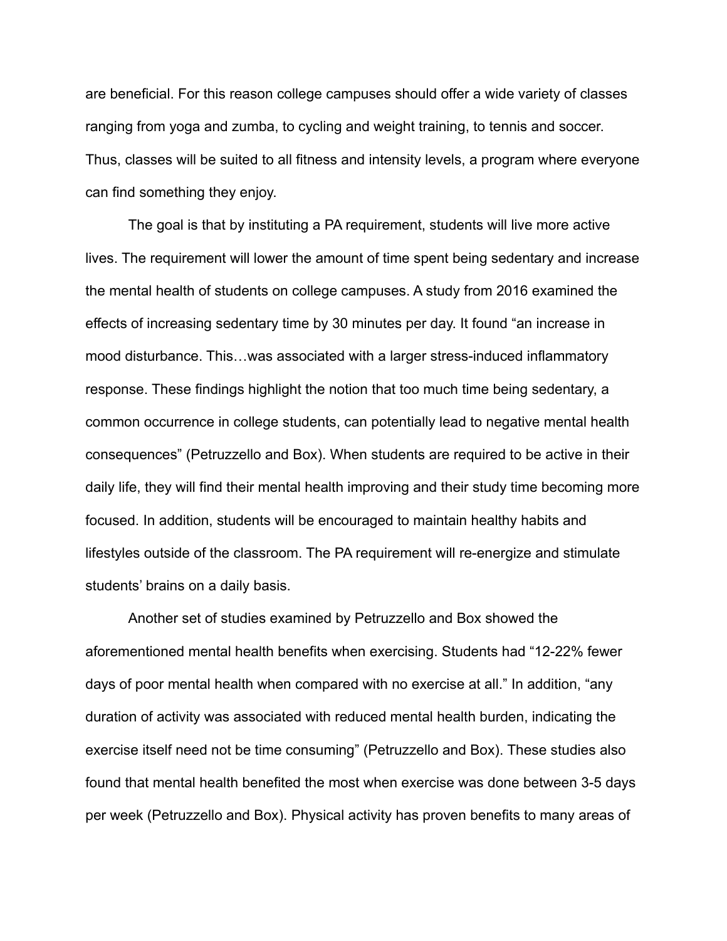are beneficial. For this reason college campuses should offer a wide variety of classes ranging from yoga and zumba, to cycling and weight training, to tennis and soccer. Thus, classes will be suited to all fitness and intensity levels, a program where everyone can find something they enjoy.

The goal is that by instituting a PA requirement, students will live more active lives. The requirement will lower the amount of time spent being sedentary and increase the mental health of students on college campuses. A study from 2016 examined the effects of increasing sedentary time by 30 minutes per day. It found "an increase in mood disturbance. This…was associated with a larger stress-induced inflammatory response. These findings highlight the notion that too much time being sedentary, a common occurrence in college students, can potentially lead to negative mental health consequences" (Petruzzello and Box). When students are required to be active in their daily life, they will find their mental health improving and their study time becoming more focused. In addition, students will be encouraged to maintain healthy habits and lifestyles outside of the classroom. The PA requirement will re-energize and stimulate students' brains on a daily basis.

Another set of studies examined by Petruzzello and Box showed the aforementioned mental health benefits when exercising. Students had "12-22% fewer days of poor mental health when compared with no exercise at all." In addition, "any duration of activity was associated with reduced mental health burden, indicating the exercise itself need not be time consuming" (Petruzzello and Box). These studies also found that mental health benefited the most when exercise was done between 3-5 days per week (Petruzzello and Box). Physical activity has proven benefits to many areas of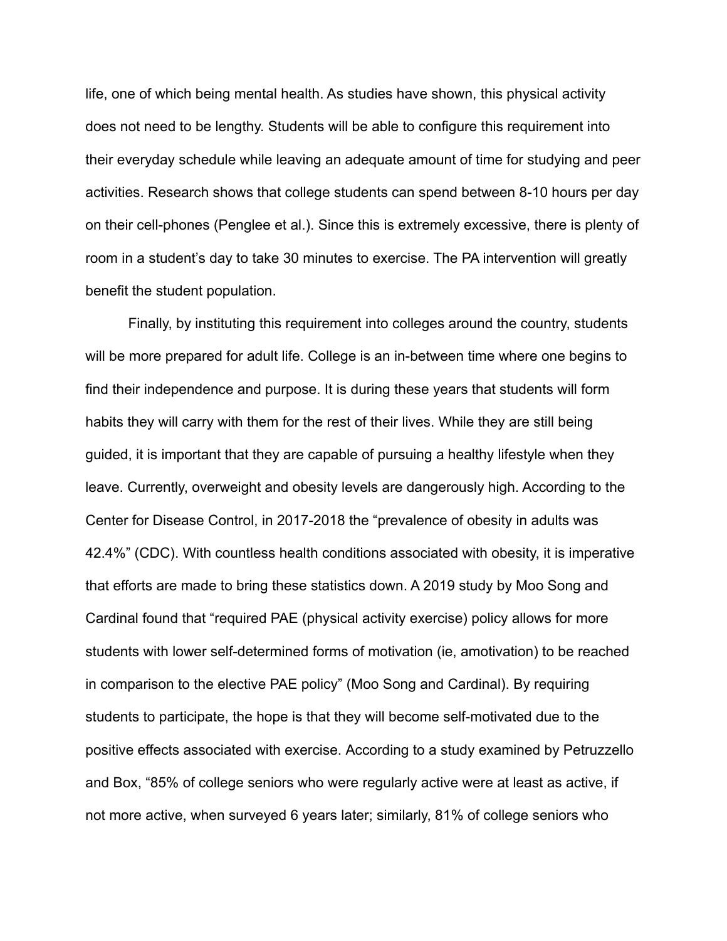life, one of which being mental health. As studies have shown, this physical activity does not need to be lengthy. Students will be able to configure this requirement into their everyday schedule while leaving an adequate amount of time for studying and peer activities. Research shows that college students can spend between 8-10 hours per day on their cell-phones (Penglee et al.). Since this is extremely excessive, there is plenty of room in a student's day to take 30 minutes to exercise. The PA intervention will greatly benefit the student population.

Finally, by instituting this requirement into colleges around the country, students will be more prepared for adult life. College is an in-between time where one begins to find their independence and purpose. It is during these years that students will form habits they will carry with them for the rest of their lives. While they are still being guided, it is important that they are capable of pursuing a healthy lifestyle when they leave. Currently, overweight and obesity levels are dangerously high. According to the Center for Disease Control, in 2017-2018 the "prevalence of obesity in adults was 42.4%" (CDC). With countless health conditions associated with obesity, it is imperative that efforts are made to bring these statistics down. A 2019 study by Moo Song and Cardinal found that "required PAE (physical activity exercise) policy allows for more students with lower self-determined forms of motivation (ie, amotivation) to be reached in comparison to the elective PAE policy" (Moo Song and Cardinal). By requiring students to participate, the hope is that they will become self-motivated due to the positive effects associated with exercise. According to a study examined by Petruzzello and Box, "85% of college seniors who were regularly active were at least as active, if not more active, when surveyed 6 years later; similarly, 81% of college seniors who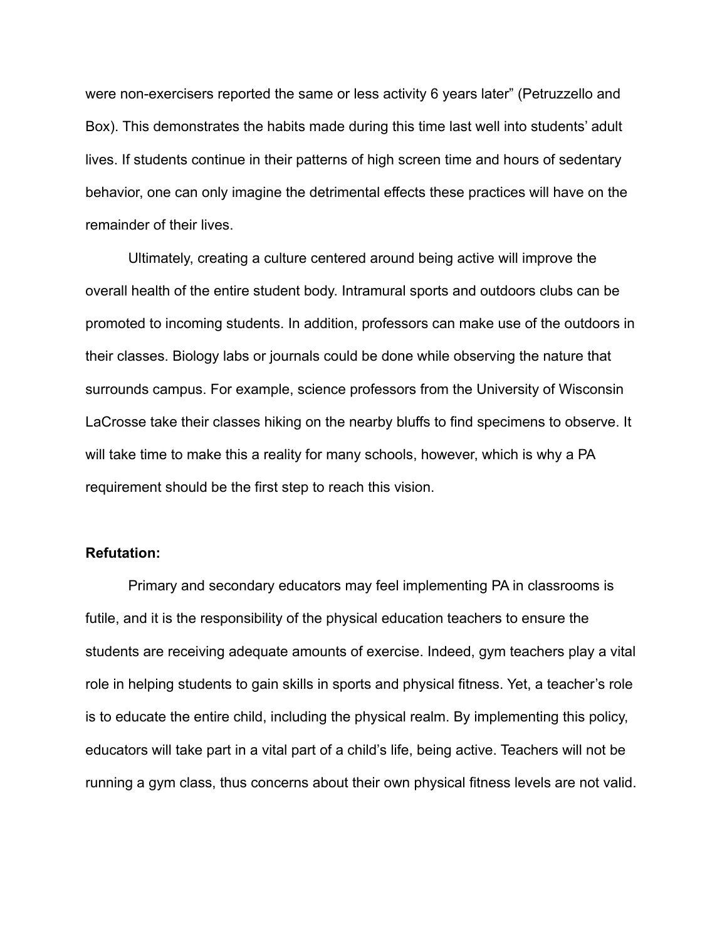were non-exercisers reported the same or less activity 6 years later" (Petruzzello and Box). This demonstrates the habits made during this time last well into students' adult lives. If students continue in their patterns of high screen time and hours of sedentary behavior, one can only imagine the detrimental effects these practices will have on the remainder of their lives.

Ultimately, creating a culture centered around being active will improve the overall health of the entire student body. Intramural sports and outdoors clubs can be promoted to incoming students. In addition, professors can make use of the outdoors in their classes. Biology labs or journals could be done while observing the nature that surrounds campus. For example, science professors from the University of Wisconsin LaCrosse take their classes hiking on the nearby bluffs to find specimens to observe. It will take time to make this a reality for many schools, however, which is why a PA requirement should be the first step to reach this vision.

#### **Refutation:**

Primary and secondary educators may feel implementing PA in classrooms is futile, and it is the responsibility of the physical education teachers to ensure the students are receiving adequate amounts of exercise. Indeed, gym teachers play a vital role in helping students to gain skills in sports and physical fitness. Yet, a teacher's role is to educate the entire child, including the physical realm. By implementing this policy, educators will take part in a vital part of a child's life, being active. Teachers will not be running a gym class, thus concerns about their own physical fitness levels are not valid.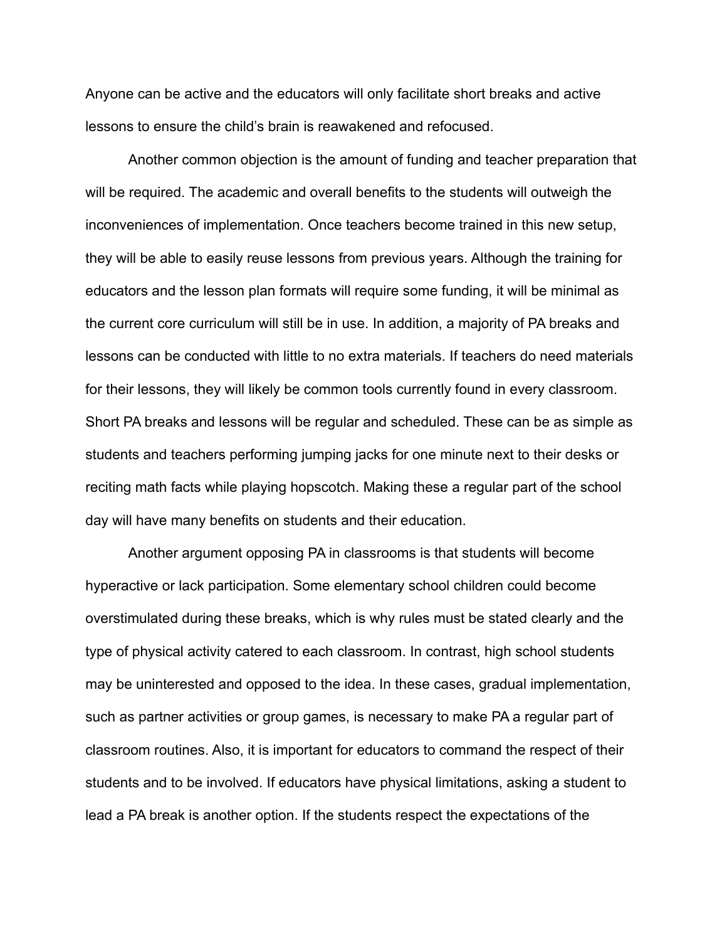Anyone can be active and the educators will only facilitate short breaks and active lessons to ensure the child's brain is reawakened and refocused.

Another common objection is the amount of funding and teacher preparation that will be required. The academic and overall benefits to the students will outweigh the inconveniences of implementation. Once teachers become trained in this new setup, they will be able to easily reuse lessons from previous years. Although the training for educators and the lesson plan formats will require some funding, it will be minimal as the current core curriculum will still be in use. In addition, a majority of PA breaks and lessons can be conducted with little to no extra materials. If teachers do need materials for their lessons, they will likely be common tools currently found in every classroom. Short PA breaks and lessons will be regular and scheduled. These can be as simple as students and teachers performing jumping jacks for one minute next to their desks or reciting math facts while playing hopscotch. Making these a regular part of the school day will have many benefits on students and their education.

Another argument opposing PA in classrooms is that students will become hyperactive or lack participation. Some elementary school children could become overstimulated during these breaks, which is why rules must be stated clearly and the type of physical activity catered to each classroom. In contrast, high school students may be uninterested and opposed to the idea. In these cases, gradual implementation, such as partner activities or group games, is necessary to make PA a regular part of classroom routines. Also, it is important for educators to command the respect of their students and to be involved. If educators have physical limitations, asking a student to lead a PA break is another option. If the students respect the expectations of the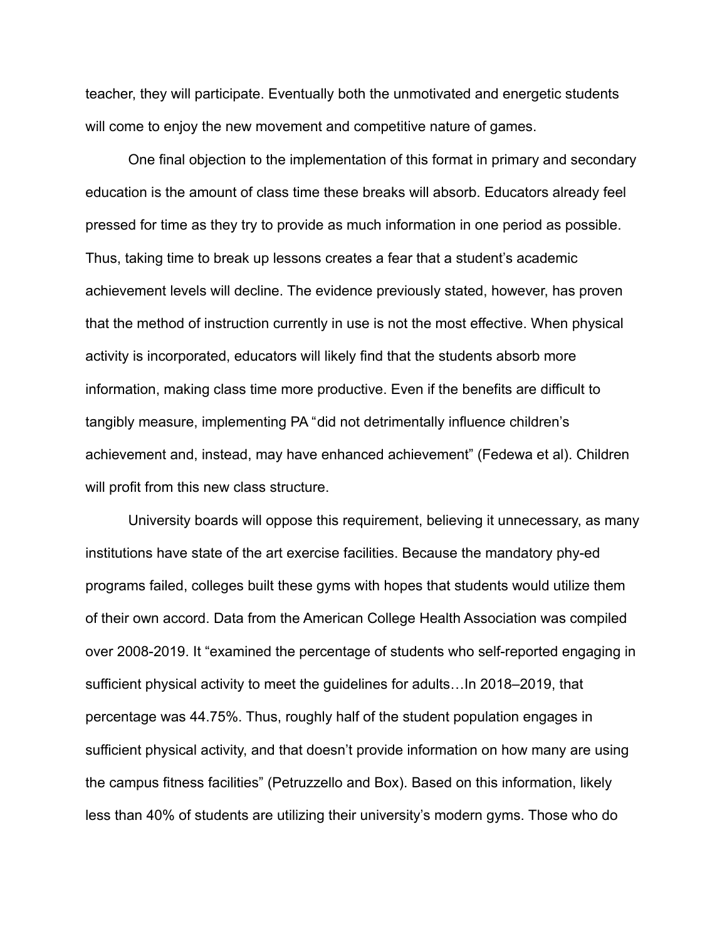teacher, they will participate. Eventually both the unmotivated and energetic students will come to enjoy the new movement and competitive nature of games.

One final objection to the implementation of this format in primary and secondary education is the amount of class time these breaks will absorb. Educators already feel pressed for time as they try to provide as much information in one period as possible. Thus, taking time to break up lessons creates a fear that a student's academic achievement levels will decline. The evidence previously stated, however, has proven that the method of instruction currently in use is not the most effective. When physical activity is incorporated, educators will likely find that the students absorb more information, making class time more productive. Even if the benefits are difficult to tangibly measure, implementing PA "did not detrimentally influence children's achievement and, instead, may have enhanced achievement" (Fedewa et al). Children will profit from this new class structure.

University boards will oppose this requirement, believing it unnecessary, as many institutions have state of the art exercise facilities. Because the mandatory phy-ed programs failed, colleges built these gyms with hopes that students would utilize them of their own accord. Data from the American College Health Association was compiled over 2008-2019. It "examined the percentage of students who self-reported engaging in sufficient physical activity to meet the guidelines for adults…In 2018–2019, that percentage was 44.75%. Thus, roughly half of the student population engages in sufficient physical activity, and that doesn't provide information on how many are using the campus fitness facilities" (Petruzzello and Box). Based on this information, likely less than 40% of students are utilizing their university's modern gyms. Those who do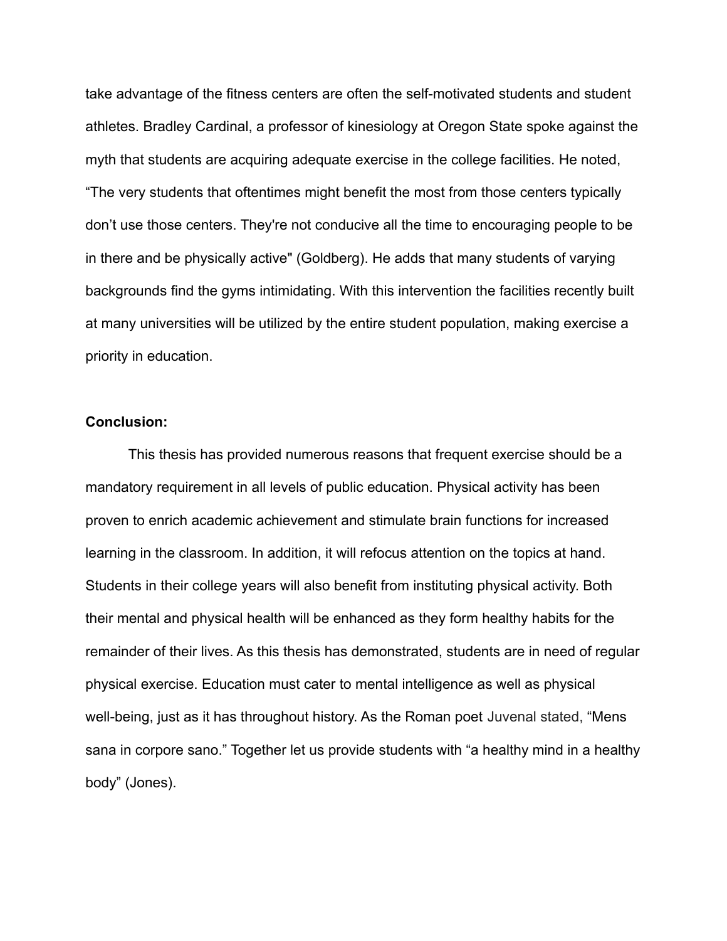take advantage of the fitness centers are often the self-motivated students and student athletes. Bradley Cardinal, a professor of kinesiology at Oregon State spoke against the myth that students are acquiring adequate exercise in the college facilities. He noted, "The very students that oftentimes might benefit the most from those centers typically don't use those centers. They're not conducive all the time to encouraging people to be in there and be physically active" (Goldberg). He adds that many students of varying backgrounds find the gyms intimidating. With this intervention the facilities recently built at many universities will be utilized by the entire student population, making exercise a priority in education.

### **Conclusion:**

This thesis has provided numerous reasons that frequent exercise should be a mandatory requirement in all levels of public education. Physical activity has been proven to enrich academic achievement and stimulate brain functions for increased learning in the classroom. In addition, it will refocus attention on the topics at hand. Students in their college years will also benefit from instituting physical activity. Both their mental and physical health will be enhanced as they form healthy habits for the remainder of their lives. As this thesis has demonstrated, students are in need of regular physical exercise. Education must cater to mental intelligence as well as physical well-being, just as it has throughout history. As the Roman poet Juvenal stated, "Mens sana in corpore sano." Together let us provide students with "a healthy mind in a healthy body" (Jones).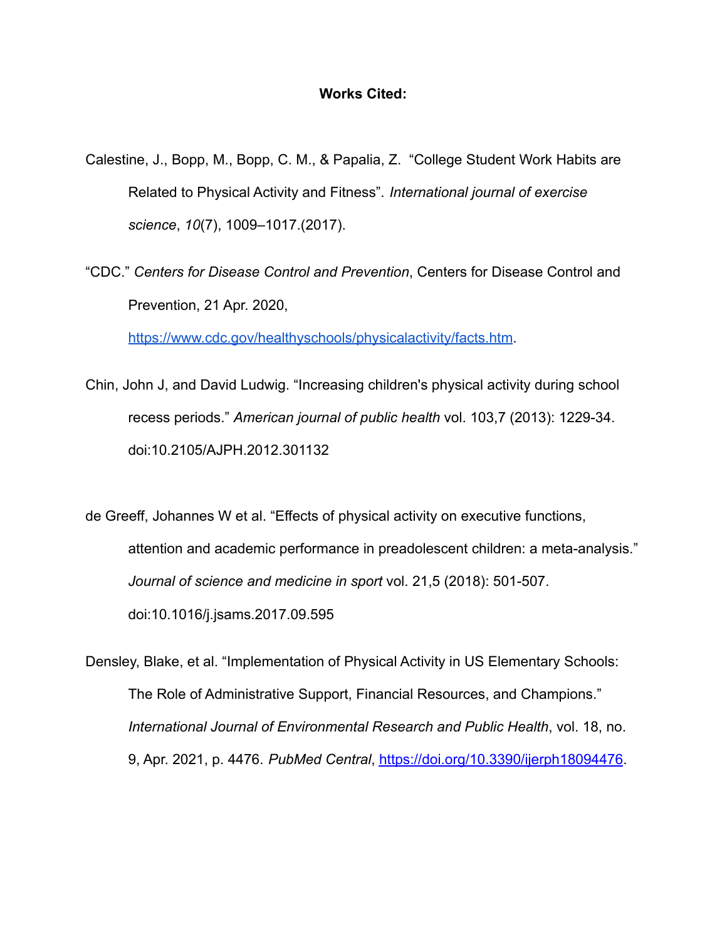## **Works Cited:**

- Calestine, J., Bopp, M., Bopp, C. M., & Papalia, Z. "College Student Work Habits are Related to Physical Activity and Fitness". *International journal of exercise science*, *10*(7), 1009–1017.(2017).
- "CDC." *Centers for Disease Control and Prevention*, Centers for Disease Control and Prevention, 21 Apr. 2020,

<https://www.cdc.gov/healthyschools/physicalactivity/facts.htm>.

- Chin, John J, and David Ludwig. "Increasing children's physical activity during school recess periods." *American journal of public health* vol. 103,7 (2013): 1229-34. doi:10.2105/AJPH.2012.301132
- de Greeff, Johannes W et al. "Effects of physical activity on executive functions, attention and academic performance in preadolescent children: a meta-analysis." *Journal of science and medicine in sport* vol. 21,5 (2018): 501-507. doi:10.1016/j.jsams.2017.09.595

Densley, Blake, et al. "Implementation of Physical Activity in US Elementary Schools: The Role of Administrative Support, Financial Resources, and Champions." *International Journal of Environmental Research and Public Health*, vol. 18, no. 9, Apr. 2021, p. 4476. *PubMed Central*, [https://doi.org/10.3390/ijerph18094476.](https://doi.org/10.3390/ijerph18094476)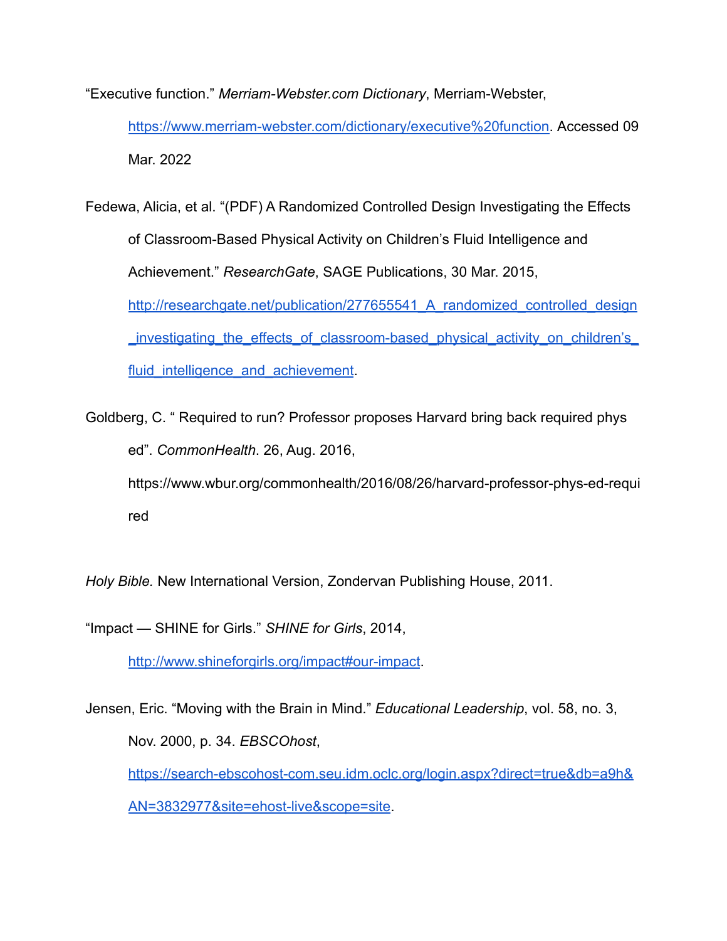"Executive function." *Merriam-Webster.com Dictionary*, Merriam-Webster,

[https://www.merriam-webster.com/dictionary/executive%20function.](https://www.merriam-webster.com/dictionary/executive%20function) Accessed 09 Mar. 2022

Fedewa, Alicia, et al. "(PDF) A Randomized Controlled Design Investigating the Effects of Classroom-Based Physical Activity on Children's Fluid Intelligence and Achievement." *ResearchGate*, SAGE Publications, 30 Mar. 2015, http://researchgate.net/publication/277655541 A randomized controlled design [\\_investigating\\_the\\_effects\\_of\\_classroom-based\\_physical\\_activity\\_on\\_children's\\_](http://researchgate.net/publication/277655541_A_randomized_controlled_design_investigating_the_effects_of_classroom-based_physical_activity_on_children%E2%80%99s_fluid_intelligence_and_achievement) fluid intelligence and achievement.

Goldberg, C. " Required to run? Professor proposes Harvard bring back required phys ed". *CommonHealth*. 26, Aug. 2016, [https://www.wbur.org/commonhealth/2016/08/26/harvard-professor-phys-ed-requi](https://www.wbur.org/commonhealth/2016/08/26/harvard-professor-phys-ed-required) [red](https://www.wbur.org/commonhealth/2016/08/26/harvard-professor-phys-ed-required)

*Holy Bible.* New International Version, Zondervan Publishing House, 2011.

"Impact — SHINE for Girls." *SHINE for Girls*, 2014,

<http://www.shineforgirls.org/impact#our-impact>.

Jensen, Eric. "Moving with the Brain in Mind." *Educational Leadership*, vol. 58, no. 3, Nov. 2000, p. 34. *EBSCOhost*, [https://search-ebscohost-com.seu.idm.oclc.org/login.aspx?direct=true&db=a9h&](https://search-ebscohost-com.seu.idm.oclc.org/login.aspx?direct=true&db=a9h&AN=3832977&site=ehost-live&scope=site) [AN=3832977&site=ehost-live&scope=site](https://search-ebscohost-com.seu.idm.oclc.org/login.aspx?direct=true&db=a9h&AN=3832977&site=ehost-live&scope=site).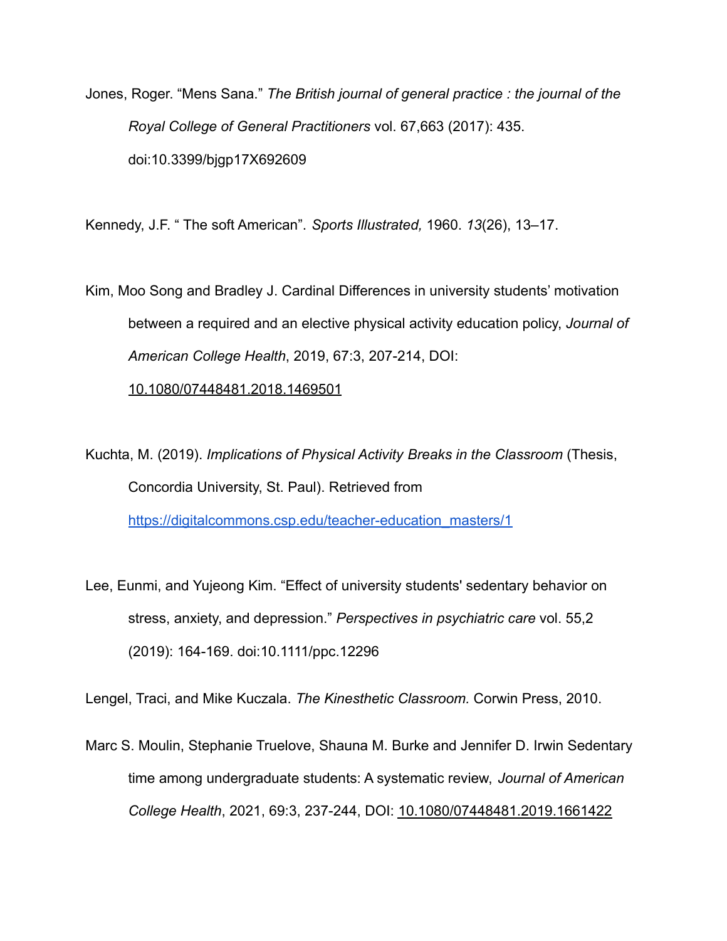Jones, Roger. "Mens Sana." *The British journal of general practice : the journal of the Royal College of General Practitioners* vol. 67,663 (2017): 435. doi:10.3399/bjgp17X692609

Kennedy, J.F. " The soft American". *Sports Illustrated,* 1960. *13*(26), 13–17.

Kim, Moo Song and Bradley J. Cardinal Differences in university students' motivation between a required and an elective physical activity education policy, *Journal of American College Health*, 2019, 67:3, 207-214, DOI:

[10.1080/07448481.2018.1469501](https://doi.org/10.1080/07448481.2018.1469501)

Kuchta, M. (2019). *Implications of Physical Activity Breaks in the Classroom* (Thesis, Concordia University, St. Paul). Retrieved from [https://digitalcommons.csp.edu/teacher-education\\_masters/1](https://digitalcommons.csp.edu/teacher-education_masters/1)

Lee, Eunmi, and Yujeong Kim. "Effect of university students' sedentary behavior on stress, anxiety, and depression." *Perspectives in psychiatric care* vol. 55,2 (2019): 164-169. doi:10.1111/ppc.12296

Lengel, Traci, and Mike Kuczala. *The Kinesthetic Classroom.* Corwin Press, 2010.

Marc S. Moulin, Stephanie Truelove, Shauna M. Burke and Jennifer D. Irwin Sedentary time among undergraduate students: A systematic review, *Journal of American College Health*, 2021, 69:3, 237-244, DOI: [10.1080/07448481.2019.1661422](https://doi.org/10.1080/07448481.2019.1661422)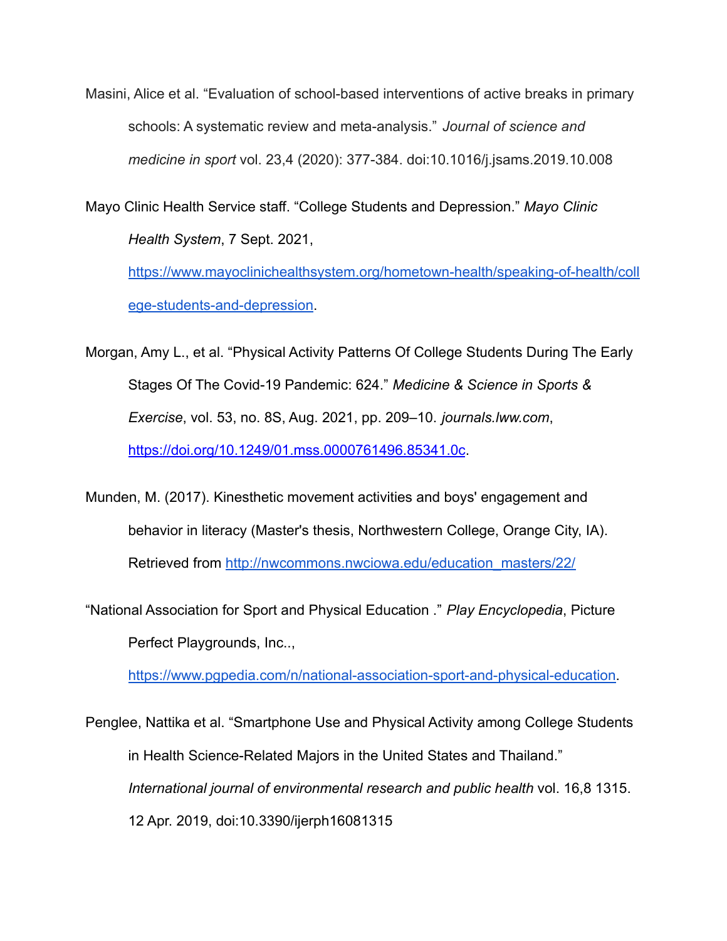Masini, Alice et al. "Evaluation of school-based interventions of active breaks in primary schools: A systematic review and meta-analysis." *Journal of science and medicine in sport* vol. 23,4 (2020): 377-384. doi:10.1016/j.jsams.2019.10.008

Mayo Clinic Health Service staff. "College Students and Depression." *Mayo Clinic Health System*, 7 Sept. 2021,

[https://www.mayoclinichealthsystem.org/hometown-health/speaking-of-health/coll](https://www.mayoclinichealthsystem.org/hometown-health/speaking-of-health/college-students-and-depression) [ege-students-and-depression](https://www.mayoclinichealthsystem.org/hometown-health/speaking-of-health/college-students-and-depression).

Morgan, Amy L., et al. "Physical Activity Patterns Of College Students During The Early Stages Of The Covid-19 Pandemic: 624." *Medicine & Science in Sports & Exercise*, vol. 53, no. 8S, Aug. 2021, pp. 209–10. *journals.lww.com*[,](https://doi.org/10.1249/01.mss.0000761496.85341.0c) <https://doi.org/10.1249/01.mss.0000761496.85341.0c>.

Munden, M. (2017). Kinesthetic movement activities and boys' engagement and behavior in literacy (Master's thesis, Northwestern College, Orange City, IA). Retrieved from [http://nwcommons.nwciowa.edu/education\\_masters/22/](http://nwcommons.nwciowa.edu/education_masters/22/)

"National Association for Sport and Physical Education ." *Play Encyclopedia*, Picture Perfect Playgrounds, Inc..,

[https://www.pgpedia.com/n/national-association-sport-and-physical-education.](https://www.pgpedia.com/n/national-association-sport-and-physical-education)

Penglee, Nattika et al. "Smartphone Use and Physical Activity among College Students in Health Science-Related Majors in the United States and Thailand." *International journal of environmental research and public health* vol. 16,8 1315. 12 Apr. 2019, doi:10.3390/ijerph16081315